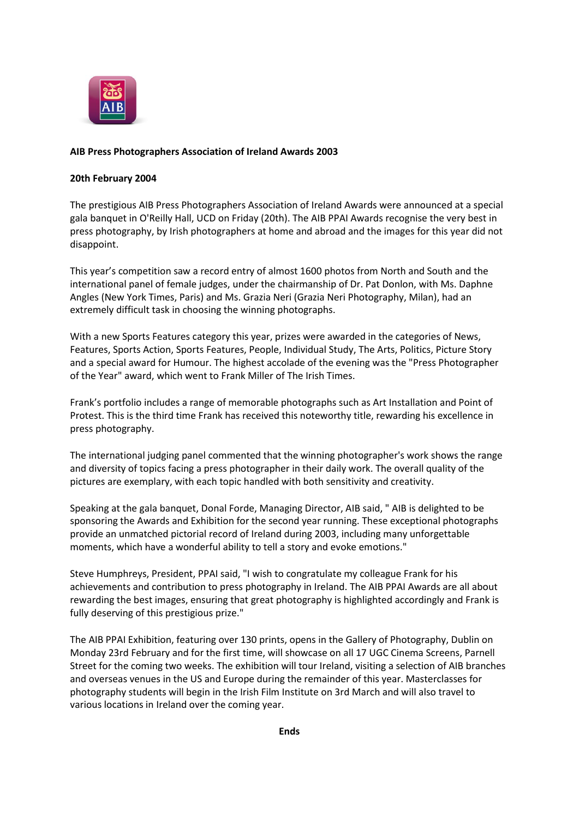

## **AIB Press Photographers Association of Ireland Awards 2003**

## **20th February 2004**

The prestigious AIB Press Photographers Association of Ireland Awards were announced at a special gala banquet in O'Reilly Hall, UCD on Friday (20th). The AIB PPAI Awards recognise the very best in press photography, by Irish photographers at home and abroad and the images for this year did not disappoint.

This year's competition saw a record entry of almost 1600 photos from North and South and the international panel of female judges, under the chairmanship of Dr. Pat Donlon, with Ms. Daphne Angles (New York Times, Paris) and Ms. Grazia Neri (Grazia Neri Photography, Milan), had an extremely difficult task in choosing the winning photographs.

With a new Sports Features category this year, prizes were awarded in the categories of News, Features, Sports Action, Sports Features, People, Individual Study, The Arts, Politics, Picture Story and a special award for Humour. The highest accolade of the evening was the "Press Photographer of the Year" award, which went to Frank Miller of The Irish Times.

Frank's portfolio includes a range of memorable photographs such as Art Installation and Point of Protest. This is the third time Frank has received this noteworthy title, rewarding his excellence in press photography.

The international judging panel commented that the winning photographer's work shows the range and diversity of topics facing a press photographer in their daily work. The overall quality of the pictures are exemplary, with each topic handled with both sensitivity and creativity.

Speaking at the gala banquet, Donal Forde, Managing Director, AIB said, " AIB is delighted to be sponsoring the Awards and Exhibition for the second year running. These exceptional photographs provide an unmatched pictorial record of Ireland during 2003, including many unforgettable moments, which have a wonderful ability to tell a story and evoke emotions."

Steve Humphreys, President, PPAI said, "I wish to congratulate my colleague Frank for his achievements and contribution to press photography in Ireland. The AIB PPAI Awards are all about rewarding the best images, ensuring that great photography is highlighted accordingly and Frank is fully deserving of this prestigious prize."

The AIB PPAI Exhibition, featuring over 130 prints, opens in the Gallery of Photography, Dublin on Monday 23rd February and for the first time, will showcase on all 17 UGC Cinema Screens, Parnell Street for the coming two weeks. The exhibition will tour Ireland, visiting a selection of AIB branches and overseas venues in the US and Europe during the remainder of this year. Masterclasses for photography students will begin in the Irish Film Institute on 3rd March and will also travel to various locations in Ireland over the coming year.